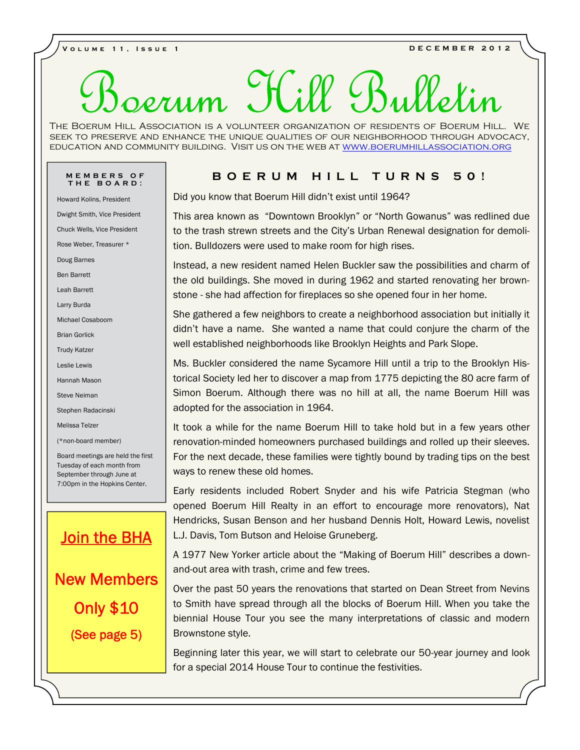**VOLUME 11, ISSUE 1**<br>**DECEMBER 2012** 

# erum Hill Bul

E BOERUM HILL ASSOCIATION IS A VOLUNTEER ORGANIZATION OF RESIDENTS OF BOERUM HILL. WE<br>K TO PRESERVE AND ENHANCE THE UNIQUE QUALITIES OF OUR NEIGHBORHOOD THROUGH ADVOCACY,<br>ICATION AND COMMUNITY BUILDING. VISIT US ON THE WEB EDUCATION AND COMMUNITY BUILDING. VISIT US ON THE WEB AT <u>WWW.BOERUMHILLASSOCIATION.ORG<br>
MEMBERS OF THE BOARD:<br>
Howard Kolins, President<br>
Did you know that Boerum Hill didn't exist until 1964?</u> The Boerum Hill Association is a volunteer organization of residents of Boerum Hill. We seek to preserve and enhance the unique qualities of our neighborhood through advocacy,

Dwight Smith, Vice President

Chuck Wells, Vice President

Rose Weber, Treasurer \*

Doug Barnes

Ben Barrett

Leah Barrett

Larry Burda

Michael Cosaboom

Brian Gorlick

Trudy Katzer

Leslie Lewis

Hannah Mason

Steve Neiman

Stephen Radacinski

Melissa Telzer

(\*non-board member)

Board meetings are held the first Tuesday of each month from September through June at 7:00pm in the Hopkins Center.

# **Join the BHA New Members (See page 5)**

Did you know that Boerum Hill didn't exist until 1964?

This area known as "Downtown Brooklyn" or "North Gowanus" was redlined due to the trash strewn streets and the City's Urban Renewal designation for demolition. Bulldozers were used to make room for high rises.

Instead, a new resident named Helen Buckler saw the possibilities and charm of the old buildings. She moved in during 1962 and started renovating her brownstone - she had affection for fireplaces so she opened four in her home.

She gathered a few neighbors to create a neighborhood association but initially it didn't have a name. She wanted a name that could conjure the charm of the well established neighborhoods like Brooklyn Heights and Park Slope.

Ms. Buckler considered the name Sycamore Hill until a trip to the Brooklyn Historical Society led her to discover a map from 1775 depicting the 80 acre farm of Simon Boerum. Although there was no hill at all, the name Boerum Hill was adopted for the association in 1964.

It took a while for the name Boerum Hill to take hold but in a few years other renovation-minded homeowners purchased buildings and rolled up their sleeves. For the next decade, these families were tightly bound by trading tips on the best ways to renew these old homes.

Early residents included Robert Snyder and his wife Patricia Stegman (who opened Boerum Hill Realty in an effort to encourage more renovators), Nat Hendricks, Susan Benson and her husband Dennis Holt, Howard Lewis, novelist L.J. Davis, Tom Butson and Heloise Gruneberg.

A 1977 New Yorker article about the "Making of Boerum Hill" describes a down and-out area with trash, crime and few trees.

Over the past 50 years the renovations that started on Dean Street from Nevins **Only \$10** to Smith have spread through all the blocks of Boerum Hill. When you take the straight the straight through all the party interrest tions of closels and modern biennial House Tour you see the many interpretations of classic and modern Brownstone style.

> Beginning later this year, we will start to celebrate our 50-year journey and look for a special 2014 House Tour to continue the festivities.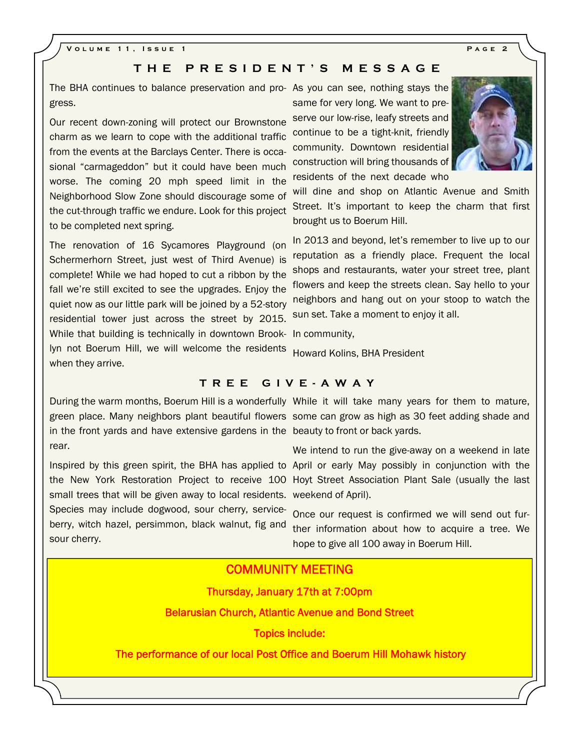# THE PRESIDENT'S MESSAGE<br>
THE PRESIDENT'S MESSAGE<br>
It do balance preservation and pro-As you can see, nothing stays the

The BHA continues to balance preservation and pro- As you can see, nothing stays the stays of gress.

Our recent down-zoning will protect our Brownstone charm as we learn to cope with the additional traffic from the events at the Barclays Center. There is occasional "carmageddon" but it could have been much worse. The coming 20 mph speed limit in the Neighborhood Slow Zone should discourage some of the cut-through traffic we endure. Look for this project to be completed next spring.

The renovation of 16 Sycamores Playground (on Schermerhorn Street, just west of Third Avenue) is complete! While we had hoped to cut a ribbon by the fall we're still excited to see the upgrades. Enjoy the quiet now as our little park will be joined by a 52-story residential tower just across the street by 2015. While that building is technically in downtown Brook-In community, lyn not Boerum Hill, we will welcome the residents when they arrive. **TREE GIVE-AWAY**<br>
During the warm months, Boerum Hill is a wonderfully While it will take many years for them to mature,

same for very long. We want to preserve our low-rise, leafy streets and continue to be a tight-knit, friendly community. Downtown residential construction will bring thousands of residents of the next decade who

will dine and shop on Atlantic Avenue and Smith Street. It's important to keep the charm that first brought us to Boerum Hill.

In 2013 and beyond, let's remember to live up to our reputation as a friendly place. Frequent the local shops and restaurants, water your street tree, plant flowers and keep the streets clean. Say hello to your neighbors and hang out on your stoop to watch the sun set. Take a moment to enjoy it all.

Howard Kolins, BHA President

in the front yards and have extensive gardens in the beauty to front or back yards. rear.

small trees that will be given away to local residents. weekend of April). Species may include dogwood, sour cherry, serviceberry, witch hazel, persimmon, black walnut, fig and sour cherry.

green place. Many neighbors plant beautiful flowers some can grow as high as 30 feet adding shade and ||

Inspired by this green spirit, the BHA has applied to April or early May possibly in conjunction with the | | the New York Restoration Project to receive 100 Hoyt Street Association Plant Sale (usually the last | | We intend to run the give-away on a weekend in late

> Once our request is confirmed we will send out further information about how to acquire a tree. We hope to give all 100 away in Boerum Hill.

# **COMMUNITY MEETING**

**Thursday, January 17th at 7:00pm**

**Belarusian Church, Atlantic Avenue and Bond Street**

**Topics include:**

 **The performance of our local Post Office and Boerum Hill Mohawk history**



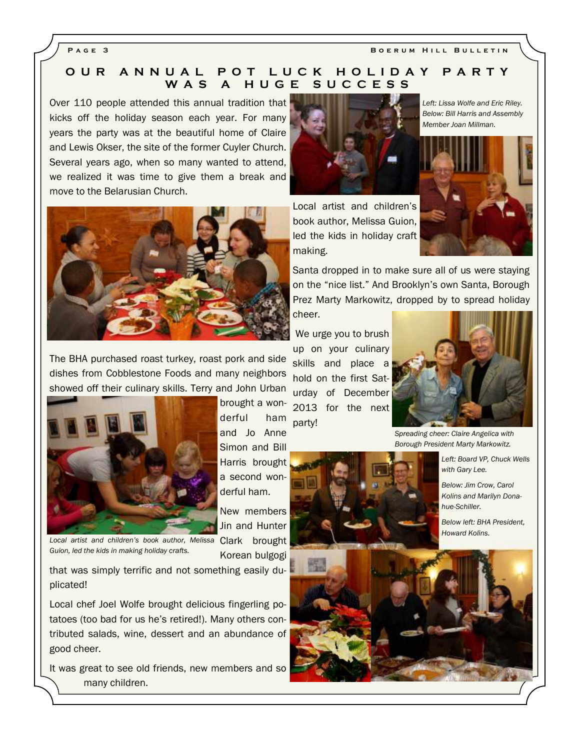**PAGE 3 BOERUM HILL BULLETIN** 

# PAGE 3<br>
O U R A N N U A L P O T L U C K H O L I D A Y P A R T Y<br>
W A S A H U G E S U C C E S S **W A L POT LUCK HOLIDAY PART**<br>W A S A H U G E S U C C E S S<br>d this annual tradition that

Over 110 people attended this annual tradition that kicks off the holiday season each year. For many years the party was at the beautiful home of Claire and Lewis Okser, the site of the former Cuyler Church. Several years ago, when so many wanted to attend, we realized it was time to give them a break and move to the Belarusian Church.



cheer.

The BHA purchased roast turkey, roast pork and side dishes from Cobblestone Foods and many neighbors showed off their culinary skills. Terry and John Urban



Local artist and children's book author, Melissa Clark brought *Guion, led the kids in making holiday crafts.*

derful ham and Jo Anne Simon and Bill Harris brought a second wonderful ham.

brought a won-

New members Jin and Hunter

Korean bulgogi

that was simply terrific and not something easily duplicated!

Local chef Joel Wolfe brought delicious fingerling potatoes (too bad for us he's retired!). Many others contributed salads, wine, dessert and an abundance of good cheer.

It was great to see old friends, new members and so many children.

Local artist and children's book author, Melissa Guion, led the kids in holiday craft making.

*Left: Lissa Wolfe and Eric Riley. Below: Bill Harris and Assembly Member Joan Millman.*



Santa dropped in to make sure all of us were staying on the "nice list." And Brooklyn's own Santa, Borough Prez Marty Markowitz, dropped by to spread holiday

 We urge you to brush up on your culinary skills and place a hold on the first Saturday of December 2013 for the next party!



*Spreading cheer: Claire Angelica with Borough President Marty Markowitz.*

*Left: Board VP, Chuck Wells with Gary Lee.*

*Below: Jim Crow, Carol Kolins and Marilyn Donahue-Schiller.*

*Below left: BHA President, Howard Kolins.*

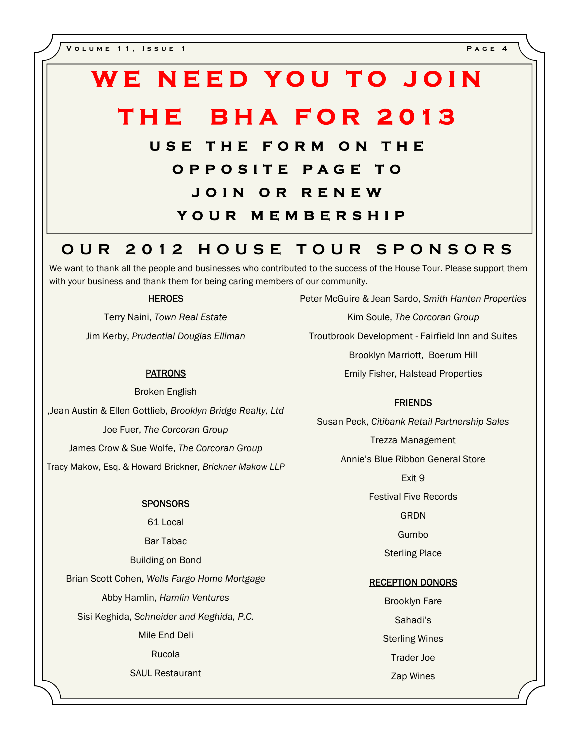# WE NEED YOU TO JOIN<br>THE BHA FOR 2013 **THE BHA FOR 2013 WE NEED YOU TO JOIN<br>THE BHA FOR 2013**<br>USE THE FORM ON THE<br>OPPOSITE PAGE TO

**C BHA FOR 2013**<br>
E THE FORM ON THE<br>
OPPOSITE PAGE TO<br>
JOIN OR RENEW **BHA FOR 2013**<br>THE FORM ON THE<br>PPOSITE PAGE TO<br>JOIN OR RENEW<br>OUR MEMBERSHIP **SE THE FORM ON THE<br>
OPPOSITE PAGE TO<br>
JOIN OR RENEW<br>
YOUR MEMBERSHIP<br>
-------------------------O PPOSITE PAGE TO<br>
JOIN OR RENEW<br>
YOUR MEMBERSHIP<br>
OUR 2012 HOUSE TOUR SPONSORS**<br>
want to thank all the people and businesses who contributed to the success of the House Tour. Please support them

We want to thank all the people and businesses who contributed to the success of the House Tour. Please support them with your business and thank them for being caring members of our community.

# **HEROES**

Terry Naini, *Town Real Estate* Jim Kerby, *Prudential Douglas Elliman*

## **PATRONS**

Broken English ,Jean Austin & Ellen Gottlieb, *Brooklyn Bridge Realty, Ltd* Joe Fuer, *The Corcoran Group* James Crow & Sue Wolfe, *The Corcoran Group* Tracy Makow, Esq. & Howard Brickner, *Brickner Makow LLP*

### **SPONSORS**

61 Local Bar Tabac Building on Bond Brian Scott Cohen, *Wells Fargo Home Mortgage* Abby Hamlin, *Hamlin Ventures* Sisi Keghida, *Schneider and Keghida, P.C.* Mile End Deli Rucola SAUL Restaurant

Peter McGuire & Jean Sardo, *Smith Hanten Properties* Kim Soule, *The Corcoran Group* Troutbrook Development - Fairfield Inn and Suites

Brooklyn Marriott, Boerum Hill

Emily Fisher, Halstead Properties

## **FRIENDS**

Susan Peck, *Citibank Retail Partnership Sales* Trezza Management Annie's Blue Ribbon General Store

Exit 9

Festival Five Records

**GRDN** 

Gumbo

Sterling Place

### **RECEPTION DONORS**

Brooklyn Fare Sahadi's Sterling Wines Trader Joe Zap Wines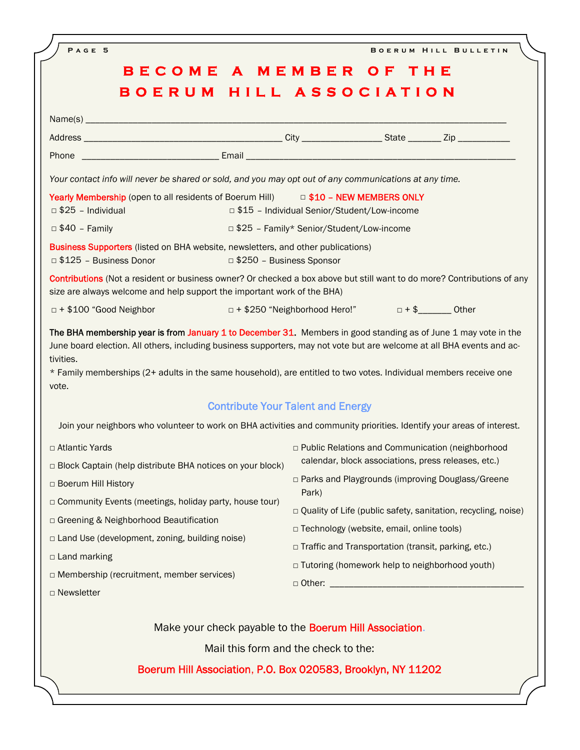| PAGE 5                                                                                                       | BOERUM HILL BULLETIN<br>BECOME A MEMBER OF THE<br>BOERUM HILL ASSOCIATION                                                                                                                                                                                                               |
|--------------------------------------------------------------------------------------------------------------|-----------------------------------------------------------------------------------------------------------------------------------------------------------------------------------------------------------------------------------------------------------------------------------------|
|                                                                                                              |                                                                                                                                                                                                                                                                                         |
|                                                                                                              |                                                                                                                                                                                                                                                                                         |
|                                                                                                              |                                                                                                                                                                                                                                                                                         |
|                                                                                                              |                                                                                                                                                                                                                                                                                         |
|                                                                                                              |                                                                                                                                                                                                                                                                                         |
| Your contact info will never be shared or sold, and you may opt out of any communications at any time.       |                                                                                                                                                                                                                                                                                         |
| Yearly Membership (open to all residents of Boerum Hill)                                                     | <b>D \$10 - NEW MEMBERS ONLY</b>                                                                                                                                                                                                                                                        |
| $\Box$ \$25 - Individual and $\Box$ \$25 - Individual                                                        | □ \$15 - Individual Senior/Student/Low-income                                                                                                                                                                                                                                           |
| □ \$40 - Family and the state of the state of \$25 - Family* Senior/Student/Low-income                       |                                                                                                                                                                                                                                                                                         |
| Business Supporters (listed on BHA website, newsletters, and other publications)<br>□ \$125 - Business Donor | □ \$250 - Business Sponsor                                                                                                                                                                                                                                                              |
| size are always welcome and help support the important work of the BHA)                                      | Contributions (Not a resident or business owner? Or checked a box above but still want to do more? Contributions of any                                                                                                                                                                 |
| $\Box$ + \$100 "Good Neighbor                                                                                | □ + \$250 "Neighborhood Hero!" □ + \$_______ Other                                                                                                                                                                                                                                      |
| tivities.<br>vote.                                                                                           | June board election. All others, including business supporters, may not vote but are welcome at all BHA events and ac-<br>* Family memberships (2+ adults in the same household), are entitled to two votes. Individual members receive one<br><b>Contribute Your Talent and Energy</b> |
|                                                                                                              | Join your neighbors who volunteer to work on BHA activities and community priorities. Identify your areas of interest.                                                                                                                                                                  |
| □ Atlantic Yards                                                                                             |                                                                                                                                                                                                                                                                                         |
| □ Block Captain (help distribute BHA notices on your block)                                                  | □ Public Relations and Communication (neighborhood<br>calendar, block associations, press releases, etc.)                                                                                                                                                                               |
| □ Boerum Hill History                                                                                        | □ Parks and Playgrounds (improving Douglass/Greene                                                                                                                                                                                                                                      |
| Community Events (meetings, holiday party, house tour)                                                       | Park)                                                                                                                                                                                                                                                                                   |
| □ Greening & Neighborhood Beautification                                                                     | □ Quality of Life (public safety, sanitation, recycling, noise)                                                                                                                                                                                                                         |
| $\Box$ Land Use (development, zoning, building noise)                                                        | □ Technology (website, email, online tools)                                                                                                                                                                                                                                             |
|                                                                                                              | □ Traffic and Transportation (transit, parking, etc.)                                                                                                                                                                                                                                   |
| $\Box$ Land marking                                                                                          |                                                                                                                                                                                                                                                                                         |
| $\Box$ Membership (recruitment, member services)                                                             | □ Tutoring (homework help to neighborhood youth)                                                                                                                                                                                                                                        |